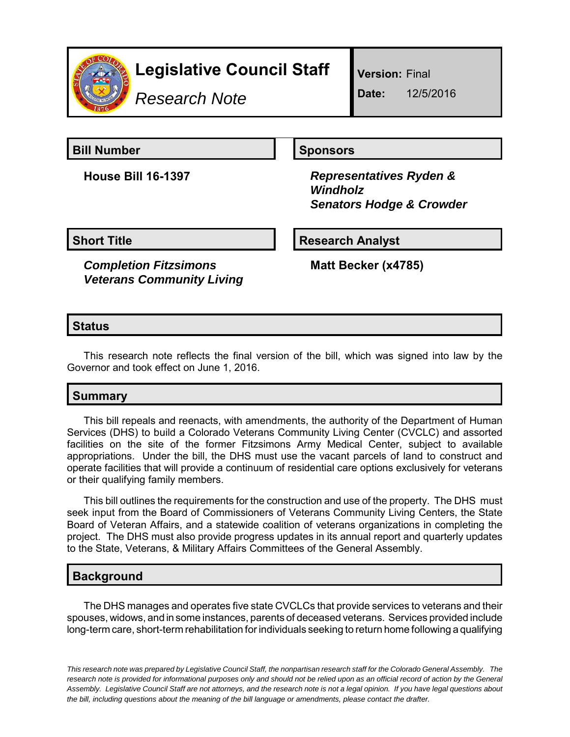

# **Legislative Council Staff**

*Research Note*

**Version:** Final

**Date:** 12/5/2016

**Bill Number Sponsors** 

**House Bill 16-1397** *Representatives Ryden & Windholz Senators Hodge & Crowder*

**Short Title Research Analyst** 

*Completion Fitzsimons Veterans Community Living* **Matt Becker (x4785)**

## **Status**

This research note reflects the final version of the bill, which was signed into law by the Governor and took effect on June 1, 2016.

# **Summary**

This bill repeals and reenacts, with amendments, the authority of the Department of Human Services (DHS) to build a Colorado Veterans Community Living Center (CVCLC) and assorted facilities on the site of the former Fitzsimons Army Medical Center, subject to available appropriations. Under the bill, the DHS must use the vacant parcels of land to construct and operate facilities that will provide a continuum of residential care options exclusively for veterans or their qualifying family members.

This bill outlines the requirements for the construction and use of the property. The DHS must seek input from the Board of Commissioners of Veterans Community Living Centers, the State Board of Veteran Affairs, and a statewide coalition of veterans organizations in completing the project. The DHS must also provide progress updates in its annual report and quarterly updates to the State, Veterans, & Military Affairs Committees of the General Assembly.

### **Background**

The DHS manages and operates five state CVCLCs that provide services to veterans and their spouses, widows, and in some instances, parents of deceased veterans. Services provided include long-term care, short-term rehabilitation for individuals seeking to return home following a qualifying

*This research note was prepared by Legislative Council Staff, the nonpartisan research staff for the Colorado General Assembly. The research note is provided for informational purposes only and should not be relied upon as an official record of action by the General Assembly. Legislative Council Staff are not attorneys, and the research note is not a legal opinion. If you have legal questions about the bill, including questions about the meaning of the bill language or amendments, please contact the drafter.*